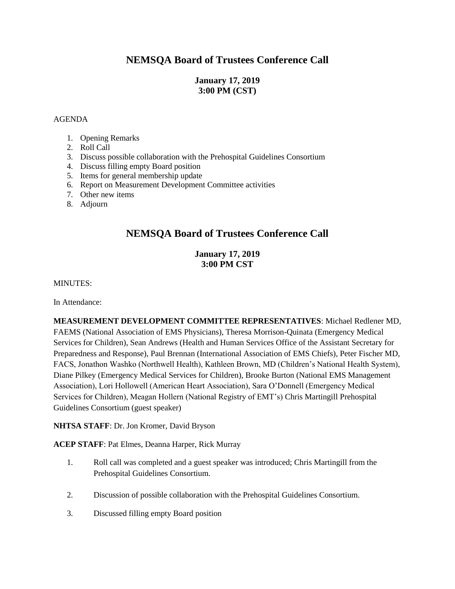# **NEMSQA Board of Trustees Conference Call**

### **January 17, 2019 3:00 PM (CST)**

#### AGENDA

- 1. Opening Remarks
- 2. Roll Call
- 3. Discuss possible collaboration with the Prehospital Guidelines Consortium
- 4. Discuss filling empty Board position
- 5. Items for general membership update
- 6. Report on Measurement Development Committee activities
- 7. Other new items
- 8. Adjourn

## **NEMSQA Board of Trustees Conference Call**

### **January 17, 2019 3:00 PM CST**

MINUTES:

In Attendance:

**MEASUREMENT DEVELOPMENT COMMITTEE REPRESENTATIVES**: Michael Redlener MD, FAEMS (National Association of EMS Physicians), Theresa Morrison-Quinata (Emergency Medical Services for Children), Sean Andrews (Health and Human Services Office of the Assistant Secretary for Preparedness and Response), Paul Brennan (International Association of EMS Chiefs), Peter Fischer MD, FACS, Jonathon Washko (Northwell Health), Kathleen Brown, MD (Children's National Health System), Diane Pilkey (Emergency Medical Services for Children), Brooke Burton (National EMS Management Association), Lori Hollowell (American Heart Association), Sara O'Donnell (Emergency Medical Services for Children), Meagan Hollern (National Registry of EMT's) Chris Martingill Prehospital Guidelines Consortium (guest speaker)

**NHTSA STAFF**: Dr. Jon Kromer, David Bryson

**ACEP STAFF**: Pat Elmes, Deanna Harper, Rick Murray

- 1. Roll call was completed and a guest speaker was introduced; Chris Martingill from the Prehospital Guidelines Consortium.
- 2. Discussion of possible collaboration with the Prehospital Guidelines Consortium.
- 3. Discussed filling empty Board position